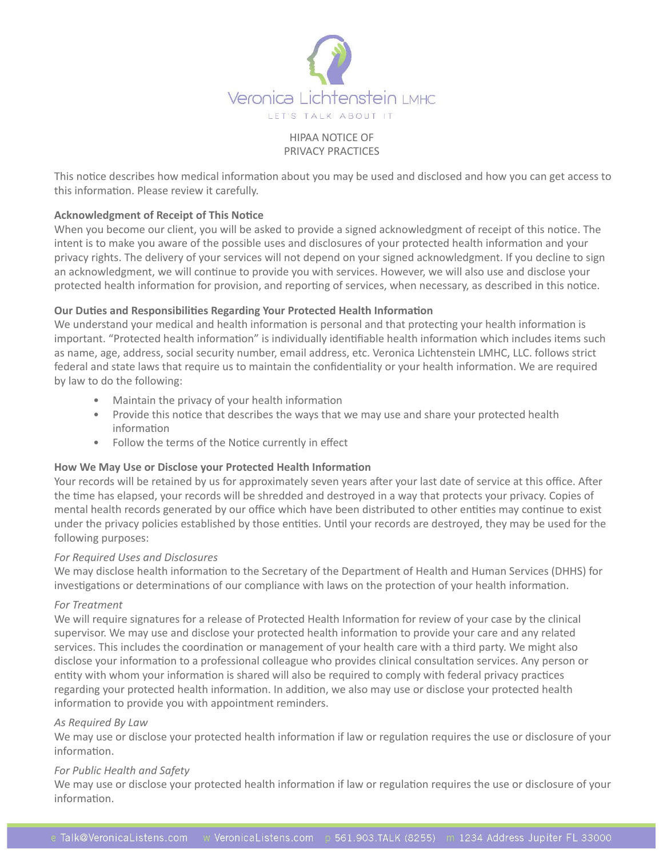

# HIPAA NOTICE OF PRIVACY PRACTICES

This notice describes how medical information about you may be used and disclosed and how you can get access to this information. Please review it carefully.

# **Acknowledgment of Receipt of This Notice**

When you become our client, you will be asked to provide a signed acknowledgment of receipt of this notice. The intent is to make you aware of the possible uses and disclosures of your protected health information and your privacy rights. The delivery of your services will not depend on your signed acknowledgment. If you decline to sign an acknowledgment, we will continue to provide you with services. However, we will also use and disclose your protected health information for provision, and reporting of services, when necessary, as described in this notice.

# **Our Duties and Responsibilities Regarding Your Protected Health Information**

We understand your medical and health information is personal and that protecting your health information is important. "Protected health information" is individually identifiable health information which includes items such as name, age, address, social security number, email address, etc. Veronica Lichtenstein LMHC, LLC. follows strict federal and state laws that require us to maintain the confidentiality or your health information. We are required by law to do the following:

- Maintain the privacy of your health information
- Provide this notice that describes the ways that we may use and share your protected health information
- Follow the terms of the Notice currently in effect

# **How We May Use or Disclose your Protected Health Information**

Your records will be retained by us for approximately seven years after your last date of service at this office. After the time has elapsed, your records will be shredded and destroyed in a way that protects your privacy. Copies of mental health records generated by our office which have been distributed to other entities may continue to exist under the privacy policies established by those entities. Until your records are destroyed, they may be used for the following purposes:

# *For Required Uses and Disclosures*

We may disclose health information to the Secretary of the Department of Health and Human Services (DHHS) for investigations or determinations of our compliance with laws on the protection of your health information.

# *For Treatment*

We will require signatures for a release of Protected Health Information for review of your case by the clinical supervisor. We may use and disclose your protected health information to provide your care and any related services. This includes the coordination or management of your health care with a third party. We might also disclose your information to a professional colleague who provides clinical consultation services. Any person or entity with whom your information is shared will also be required to comply with federal privacy practices regarding your protected health information. In addition, we also may use or disclose your protected health information to provide you with appointment reminders.

# *As Required By Law*

We may use or disclose your protected health information if law or regulation requires the use or disclosure of your information.

### *For Public Health and Safety*

We may use or disclose your protected health information if law or regulation requires the use or disclosure of your information.